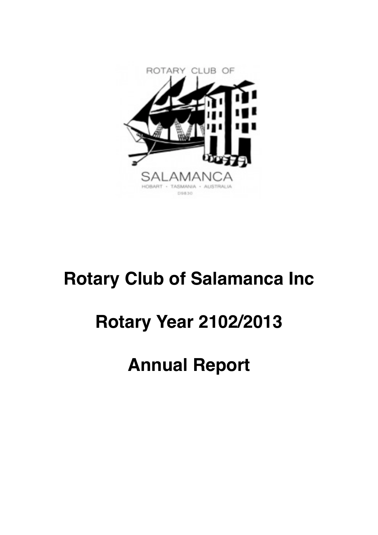

# **Rotary Club of Salamanca Inc**

# **Rotary Year 2102/2013**

# **Annual Report**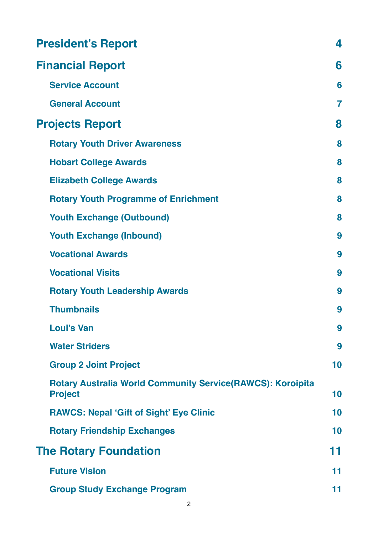| <b>President's Report</b>                                                           | 4                       |
|-------------------------------------------------------------------------------------|-------------------------|
| <b>Financial Report</b>                                                             | 6                       |
| <b>Service Account</b>                                                              | 6                       |
| <b>General Account</b>                                                              | $\overline{\mathbf{r}}$ |
| <b>Projects Report</b>                                                              | 8                       |
| <b>Rotary Youth Driver Awareness</b>                                                | 8                       |
| <b>Hobart College Awards</b>                                                        | 8                       |
| <b>Elizabeth College Awards</b>                                                     | 8                       |
| <b>Rotary Youth Programme of Enrichment</b>                                         | 8                       |
| <b>Youth Exchange (Outbound)</b>                                                    | 8                       |
| <b>Youth Exchange (Inbound)</b>                                                     | 9                       |
| <b>Vocational Awards</b>                                                            | 9                       |
| <b>Vocational Visits</b>                                                            | 9                       |
| <b>Rotary Youth Leadership Awards</b>                                               | 9                       |
| <b>Thumbnails</b>                                                                   | 9                       |
| <b>Loui's Van</b>                                                                   | 9                       |
| <b>Water Striders</b>                                                               | 9                       |
| <b>Group 2 Joint Project</b>                                                        | 10                      |
| <b>Rotary Australia World Community Service(RAWCS): Koroipita</b><br><b>Project</b> | 10                      |
| <b>RAWCS: Nepal 'Gift of Sight' Eye Clinic</b>                                      | 10                      |
| <b>Rotary Friendship Exchanges</b>                                                  | 10                      |
| <b>The Rotary Foundation</b>                                                        | 11                      |
| <b>Future Vision</b>                                                                | 11                      |
| <b>Group Study Exchange Program</b>                                                 | 11                      |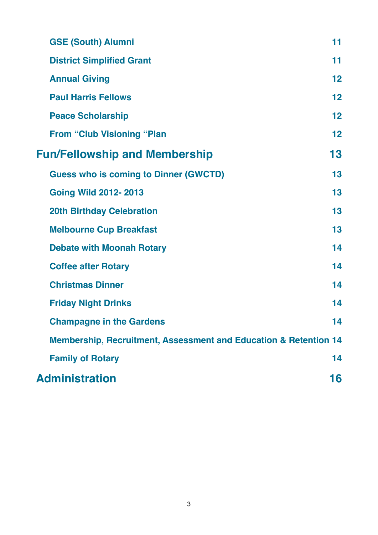| <b>GSE (South) Alumni</b>                                                   | 11 |
|-----------------------------------------------------------------------------|----|
| <b>District Simplified Grant</b>                                            | 11 |
| <b>Annual Giving</b>                                                        | 12 |
| <b>Paul Harris Fellows</b>                                                  | 12 |
| <b>Peace Scholarship</b>                                                    | 12 |
| <b>From "Club Visioning "Plan</b>                                           | 12 |
| <b>Fun/Fellowship and Membership</b>                                        | 13 |
| <b>Guess who is coming to Dinner (GWCTD)</b>                                | 13 |
| <b>Going Wild 2012-2013</b>                                                 | 13 |
| <b>20th Birthday Celebration</b>                                            | 13 |
| <b>Melbourne Cup Breakfast</b>                                              | 13 |
| <b>Debate with Moonah Rotary</b>                                            | 14 |
| <b>Coffee after Rotary</b>                                                  | 14 |
| <b>Christmas Dinner</b>                                                     | 14 |
| <b>Friday Night Drinks</b>                                                  | 14 |
| <b>Champagne in the Gardens</b>                                             | 14 |
| <b>Membership, Recruitment, Assessment and Education &amp; Retention 14</b> |    |
| <b>Family of Rotary</b>                                                     | 14 |
| <b>Administration</b>                                                       | 16 |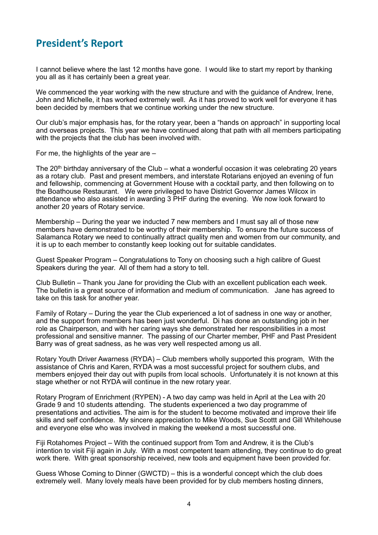# <span id="page-3-0"></span>**President's Report**

I cannot believe where the last 12 months have gone. I would like to start my report by thanking you all as it has certainly been a great year.

We commenced the year working with the new structure and with the guidance of Andrew, Irene, John and Michelle, it has worked extremely well. As it has proved to work well for everyone it has been decided by members that we continue working under the new structure.

Our club's major emphasis has, for the rotary year, been a "hands on approach" in supporting local and overseas projects. This year we have continued along that path with all members participating with the projects that the club has been involved with.

For me, the highlights of the year are –

The  $20<sup>th</sup>$  birthday anniversary of the Club – what a wonderful occasion it was celebrating 20 years as a rotary club. Past and present members, and interstate Rotarians enjoyed an evening of fun and fellowship, commencing at Government House with a cocktail party, and then following on to the Boathouse Restaurant. We were privileged to have District Governor James Wilcox in attendance who also assisted in awarding 3 PHF during the evening. We now look forward to another 20 years of Rotary service.

Membership – During the year we inducted 7 new members and I must say all of those new members have demonstrated to be worthy of their membership. To ensure the future success of Salamanca Rotary we need to continually attract quality men and women from our community, and it is up to each member to constantly keep looking out for suitable candidates.

Guest Speaker Program – Congratulations to Tony on choosing such a high calibre of Guest Speakers during the year. All of them had a story to tell.

Club Bulletin – Thank you Jane for providing the Club with an excellent publication each week. The bulletin is a great source of information and medium of communication. Jane has agreed to take on this task for another year.

Family of Rotary – During the year the Club experienced a lot of sadness in one way or another, and the support from members has been just wonderful. Di has done an outstanding job in her role as Chairperson, and with her caring ways she demonstrated her responsibilities in a most professional and sensitive manner. The passing of our Charter member, PHF and Past President Barry was of great sadness, as he was very well respected among us all.

Rotary Youth Driver Awarness (RYDA) – Club members wholly supported this program, With the assistance of Chris and Karen, RYDA was a most successful project for southern clubs, and members enjoyed their day out with pupils from local schools. Unfortunately it is not known at this stage whether or not RYDA will continue in the new rotary year.

Rotary Program of Enrichment (RYPEN) - A two day camp was held in April at the Lea with 20 Grade 9 and 10 students attending. The students experienced a two day programme of presentations and activities. The aim is for the student to become motivated and improve their life skills and self confidence. My sincere appreciation to Mike Woods, Sue Scottt and Gill Whitehouse and everyone else who was involved in making the weekend a most successful one.

Fiji Rotahomes Project – With the continued support from Tom and Andrew, it is the Club's intention to visit Fiji again in July. With a most competent team attending, they continue to do great work there. With great sponsorship received, new tools and equipment have been provided for.

Guess Whose Coming to Dinner (GWCTD) – this is a wonderful concept which the club does extremely well. Many lovely meals have been provided for by club members hosting dinners,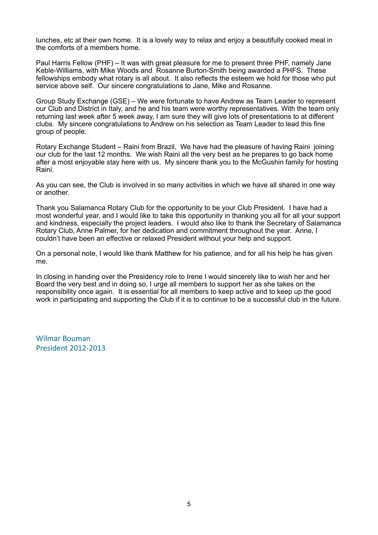lunches, etc at their own home. It is a lovely way to relax and enjoy a beautifully cooked meal in the comforts of a members home.

Paul Harris Fellow (PHF) – It was with great pleasure for me to present three PHF, namely Jane Keble-Williams, with Mike Woods and Rosanne Burton-Smith being awarded a PHFS. These fellowships embody what rotary is all about. It also reflects the esteem we hold for those who put service above self. Our sincere congratulations to Jane, Mike and Rosanne.

Group Study Exchange (GSE) – We were fortunate to have Andrew as Team Leader to represent our Club and District in Italy, and he and his team were worthy representatives. With the team only returning last week after 5 week away, I am sure they will give lots of presentations to at different clubs. My sincere congratulations to Andrew on his selection as Team Leader to lead this fine group of people.

Rotary Exchange Student – Raini from Brazil, We have had the pleasure of having Raini joining our club for the last 12 months. We wish Raini all the very best as he prepares to go back home after a most enjoyable stay here with us. My sincere thank you to the McGushin family for hosting Raini.

As you can see, the Club is involved in so many activities in which we have all shared in one way or another.

Thank you Salamanca Rotary Club for the opportunity to be your Club President. I have had a most wonderful year, and I would like to take this opportunity in thanking you all for all your support and kindness, especially the project leaders. I would also like to thank the Secretary of Salamanca Rotary Club, Anne Palmer, for her dedication and commitment throughout the year. Anne, I couldn't have been an effective or relaxed President without your help and support.

On a personal note, I would like thank Matthew for his patience, and for all his help he has given me.

In closing in handing over the Presidency role to Irene I would sincerely like to wish her and her Board the very best and in doing so, I urge all members to support her as she takes on the responsibility once again. It is essential for all members to keep active and to keep up the good work in participating and supporting the Club if it is to continue to be a successful club in the future.

Wilmar Bouman President 2012-2013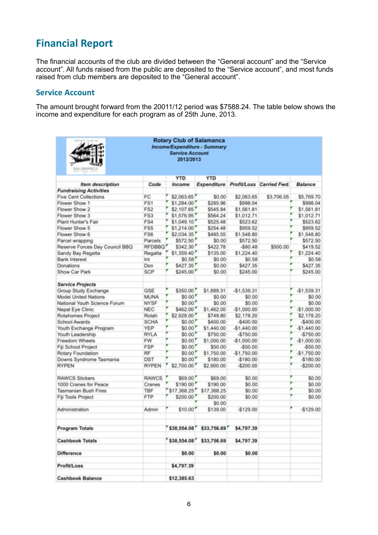# <span id="page-5-0"></span>**Financial Report**

The financial accounts of the club are divided between the "General account" and the "Service account". All funds raised from the public are deposited to the "Service account", and most funds raised from club members are deposited to the "General account".

#### <span id="page-5-1"></span>**Service Account**

The amount brought forward from the 20011/12 period was \$7588.24. The table below shows the income and expenditure for each program as of 25th June, 2013.

| <b>Rotary Club of Salamanca</b><br>Income/Expenditure - Summary<br><b>Service Account</b><br>2012/2013<br><b>SALAMANCA</b> |                 |             |                         |              |                          |              |  |  |
|----------------------------------------------------------------------------------------------------------------------------|-----------------|-------------|-------------------------|--------------|--------------------------|--------------|--|--|
|                                                                                                                            |                 | YTD         | <b>YTD</b>              |              |                          |              |  |  |
| Item description                                                                                                           | Code            | Income      | Expenditure             |              | Profit/Loss Carried Fwd. | Balance      |  |  |
| <b>Fundraising Activities</b>                                                                                              |                 |             |                         |              |                          |              |  |  |
| <b>Five Cent Collections</b>                                                                                               | FC              | \$2,063.65  | \$0.00                  | \$2,063.65   | \$3,706.05               | \$5,769.70   |  |  |
| Flower Show 1                                                                                                              | FS1             | \$1,284.00  | \$285.96                | \$998.04     |                          | \$998.04     |  |  |
| Flower Show 2                                                                                                              | FS <sub>2</sub> | \$2,107.65  | \$545.84                | \$1,561.81   |                          | \$1,561.81   |  |  |
| Flower Show 3                                                                                                              | FS3             | \$1,576.95  | \$564.24                | \$1,012.71   |                          | \$1,012.71   |  |  |
| Plant Hunter's Fair                                                                                                        | FS4             | \$1,049.10  | \$525.48                | \$523.62     |                          | \$523.62     |  |  |
| Flower Show 5                                                                                                              | FS <sub>5</sub> | \$1,214.00  | \$254.48                | \$959.52     |                          | \$959.52     |  |  |
| Flower Show 6                                                                                                              | FS6             | \$2,034.35  | \$485.55                | \$1,548.80   |                          | \$1,548.80   |  |  |
| Parcel wrapping                                                                                                            | Parcels         | \$572.50    | \$0.00                  | \$572.50     |                          | \$572.50     |  |  |
| Reserve Forces Day Council BBQ                                                                                             | <b>RFDBBQ</b>   | \$342.30    | \$422.78                | $-$80.48$    | \$500.00                 | \$419.52     |  |  |
| Sandy Bay Regatta                                                                                                          | Regatta         | \$1,359.40  | \$135.00                | \$1,224.40   |                          | \$1,224.40   |  |  |
| <b>Bank Interest</b>                                                                                                       | Int             | \$0.58      | \$0.00                  | \$0.58       |                          | \$0.58       |  |  |
| Donations                                                                                                                  | Don             | \$427.35    | \$0.00                  | \$427.35     |                          | \$427.35     |  |  |
| Show Car Park                                                                                                              | SCP             | \$245.00    | \$0.00                  | \$245.00     |                          | \$245.00     |  |  |
|                                                                                                                            |                 |             |                         |              |                          |              |  |  |
| <b>Service Projects</b>                                                                                                    |                 |             |                         |              |                          |              |  |  |
| Group Study Exchange                                                                                                       | GSE             | \$350.00    | \$1,889.31              | $-51.539.31$ |                          | $-$1,539.31$ |  |  |
| Model United Nations                                                                                                       | MUNA            | \$0.00      | \$0.00                  | \$0.00       |                          | \$0.00       |  |  |
| National Youth Science Forum                                                                                               | <b>NYSF</b>     | \$0.00      | \$0.00                  | \$0.00       |                          | \$0.00       |  |  |
| Nepal Eye Clinic                                                                                                           | <b>NEC</b>      | \$462.00    | \$1,462.00              | $-$1,000.00$ |                          | $-$1,000.00$ |  |  |
| Rotahomes Project                                                                                                          | Rotah           | \$2 928.00  | \$749.80                | \$2,178.20   |                          | \$2,178.20   |  |  |
| School Awards                                                                                                              | SCHA            | \$0.00      | \$400.00                | $-$400.00$   |                          | $-$400.00$   |  |  |
| Youth Exchange Program                                                                                                     | YEP             | \$0.00      | \$1,440.00              | $-51,440.00$ |                          | $-$1,440.00$ |  |  |
| Youth Leadership                                                                                                           | <b>RYLA</b>     | \$0.00      | \$750.00                | $-5750.00$   |                          | $-5750.00$   |  |  |
| Freedom Wheels                                                                                                             | <b>FW</b>       | \$0.00      | \$1,000.00              | $-$1,000.00$ |                          | $-$1,000.00$ |  |  |
| Fiji School Project                                                                                                        | <b>FSP</b>      | \$0.00      | \$50.00                 | $-550.00$    |                          | $-550.00$    |  |  |
| Rotary Foundation                                                                                                          | RF              | \$0.00'     | \$1,750.00              | $-$1,750.00$ |                          | $-$1,750.00$ |  |  |
| Downs Syndrome Tasmania                                                                                                    | DST             | \$0.00'     | \$180.00                | $-$180.00$   |                          | $-$180.00$   |  |  |
| <b>RYPEN</b>                                                                                                               | <b>RYPEN</b>    | \$2,700.00  | \$2,900.00              | $-$200.00$   |                          | $-$200.00$   |  |  |
|                                                                                                                            |                 |             |                         |              |                          |              |  |  |
| <b>RAWCS Stickers</b>                                                                                                      | <b>RAWCS</b>    | \$69.00     | \$69.00                 | \$0.00       |                          | \$0.00       |  |  |
| 1000 Cranes for Peace                                                                                                      | Cranes          | \$190.00    | \$190.00                | \$0.00       |                          | \$0.00       |  |  |
| Tasmanian Bush Fires                                                                                                       | TBF             | \$17,368.25 | \$17,368.25             | \$0.00       |                          | \$0.00       |  |  |
| Fiji Tools Project                                                                                                         | FTP             | \$200.00    | \$200.00                | \$0.00       |                          | \$0.00       |  |  |
|                                                                                                                            |                 |             | \$0.00                  |              |                          |              |  |  |
| Administration                                                                                                             | Admin           | \$10.00     | \$139.00                | $-$129.00$   |                          | $-$129.00$   |  |  |
| <b>Program Totals</b>                                                                                                      |                 |             | \$38,554.08 \$33,756.69 | \$4,797.39   |                          |              |  |  |
| <b>Cashbook Totals</b>                                                                                                     |                 | 538,554.08  | \$33,756.69             | \$4,797.39   |                          |              |  |  |
| Difference                                                                                                                 |                 | \$0.00      | \$0.00                  | \$0.00       |                          |              |  |  |
| Profit/Loss                                                                                                                |                 | \$4,797.39  |                         |              |                          |              |  |  |
| <b>Cashbook Balance</b>                                                                                                    |                 | \$12,385.63 |                         |              |                          |              |  |  |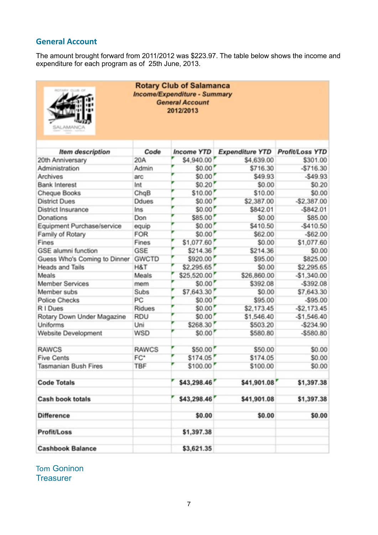# <span id="page-6-0"></span>**General Account**

The amount brought forward from 2011/2012 was \$223.97. The table below shows the income and expenditure for each program as of 25th June, 2013.

| <b>Rotary Club of Salamanca</b><br>Income/Expenditure - Summary<br><b>General Account</b><br>2012/2013<br>LAL AMANCA |              |  |                                 |                                      |                                    |  |  |  |
|----------------------------------------------------------------------------------------------------------------------|--------------|--|---------------------------------|--------------------------------------|------------------------------------|--|--|--|
|                                                                                                                      |              |  |                                 |                                      |                                    |  |  |  |
| <b>Item description</b><br>20th Anniversary                                                                          | Code<br>20A  |  | <b>Income YTD</b><br>\$4,940.00 | <b>Expenditure YTD</b><br>\$4,639.00 | <b>Profit/Loss YTD</b><br>\$301.00 |  |  |  |
| Administration                                                                                                       | Admin        |  | \$0.00                          | \$716.30                             | $-$716.30$                         |  |  |  |
| Archives                                                                                                             | arc          |  | \$0.00                          | \$49.93                              | $-$49.93$                          |  |  |  |
| <b>Bank Interest</b>                                                                                                 | Int          |  | \$0.20                          | \$0.00                               | \$0.20                             |  |  |  |
| Cheque Books                                                                                                         | ChqB         |  | \$10.00                         | \$10.00                              | \$0.00                             |  |  |  |
| <b>District Dues</b>                                                                                                 | Ddues        |  | \$0.00                          | \$2,387.00                           | $-$2,387.00$                       |  |  |  |
| <b>District Insurance</b>                                                                                            | Ins          |  | \$0.00                          | \$842.01                             | $-$842.01$                         |  |  |  |
| Donations                                                                                                            | Don          |  | \$85.00                         | \$0.00                               | \$85.00                            |  |  |  |
| Equipment Purchase/service                                                                                           | equip        |  | \$0.00                          | \$410.50                             | $-$410.50$                         |  |  |  |
| Family of Rotary                                                                                                     | <b>FOR</b>   |  | \$0.00                          | \$62.00                              | $-$ \$62.00                        |  |  |  |
| Fines                                                                                                                | Fines        |  | \$1,077.60                      | \$0.00                               | \$1,077.60                         |  |  |  |
| <b>GSE</b> alumni function                                                                                           | GSE          |  | \$214.36                        | \$214.36                             | \$0.00                             |  |  |  |
| Guess Who's Coming to Dinner                                                                                         | <b>GWCTD</b> |  | \$920.00                        | \$95.00                              | \$825.00                           |  |  |  |
| <b>Heads and Tails</b>                                                                                               | H&T          |  | \$2,295.65                      | \$0.00                               | \$2,295.65                         |  |  |  |
| Meals                                                                                                                | Meals        |  | \$25,520.00                     | \$26,860.00                          | $-$1,340.00$                       |  |  |  |
| <b>Member Services</b>                                                                                               | mem          |  | \$0.00                          | \$392.08                             | $-$ \$392.08                       |  |  |  |
| Member subs                                                                                                          | Subs         |  | \$7,643.30                      | \$0.00                               | \$7,643.30                         |  |  |  |
| <b>Police Checks</b>                                                                                                 | PC           |  | \$0.00                          | \$95.00                              | $-$95.00$                          |  |  |  |
| R I Dues                                                                                                             | Ridues       |  | \$0.00                          | \$2,173.45                           | $-$2,173.45$                       |  |  |  |
| Rotary Down Under Magazine                                                                                           | <b>RDU</b>   |  | \$0.00                          | \$1,546.40                           | $-$1,546.40$                       |  |  |  |
| Uniforms                                                                                                             | Uni          |  | \$268.30                        | \$503.20                             | -\$234.90                          |  |  |  |
| Website Development                                                                                                  | WSD          |  | \$0.00                          | \$580.80                             | $-$ \$580.80                       |  |  |  |
| <b>RAWCS</b>                                                                                                         | <b>RAWCS</b> |  | \$50.00                         | \$50.00                              | \$0.00                             |  |  |  |
| <b>Five Cents</b>                                                                                                    | FC*          |  | \$174.05                        | \$174.05                             | \$0.00                             |  |  |  |
| Tasmanian Bush Fires                                                                                                 | <b>TBF</b>   |  | \$100.00                        | \$100.00                             | \$0.00                             |  |  |  |
| <b>Code Totals</b>                                                                                                   |              |  | \$43,298.46                     | \$41,901.08                          | \$1,397.38                         |  |  |  |
| <b>Cash book totals</b>                                                                                              |              |  | \$43,298.46                     | \$41,901.08                          | \$1,397.38                         |  |  |  |
| <b>Difference</b>                                                                                                    |              |  | \$0.00                          | \$0.00                               | \$0.00                             |  |  |  |
| <b>Profit/Loss</b>                                                                                                   |              |  | \$1,397.38                      |                                      |                                    |  |  |  |
| <b>Cashbook Balance</b>                                                                                              |              |  | \$3,621.35                      |                                      |                                    |  |  |  |

Tom Goninon **Treasurer**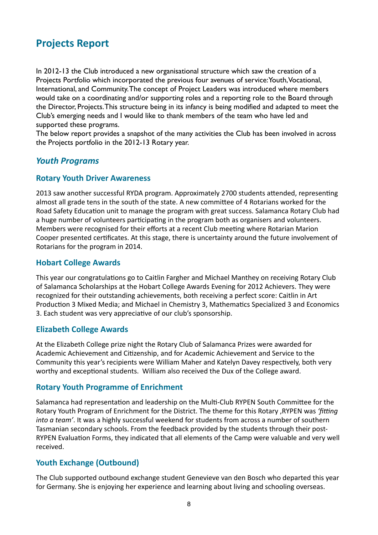# <span id="page-7-0"></span>**Projects Report**

In 2012-13 the Club introduced a new organisational structure which saw the creation of a Projects Portfolio which incorporated the previous four avenues of service: Youth, Vocational, International, and Community. The concept of Project Leaders was introduced where members would take on a coordinating and/or supporting roles and a reporting role to the Board through the Director, Projects. This structure being in its infancy is being modified and adapted to meet the Club's emerging needs and I would like to thank members of the team who have led and supported these programs.

The below report provides a snapshot of the many activities the Club has been involved in across the Projects portfolio in the 2012-13 Rotary year.

## *Youth Programs*

#### <span id="page-7-1"></span>**Rotary Youth Driver Awareness**

2013 saw another successful RYDA program. Approximately 2700 students attended, representing almost all grade tens in the south of the state. A new committee of 4 Rotarians worked for the Road Safety Education unit to manage the program with great success. Salamanca Rotary Club had a huge number of volunteers participating in the program both as organisers and volunteers. Members were recognised for their efforts at a recent Club meeting where Rotarian Marion Cooper presented certificates. At this stage, there is uncertainty around the future involvement of Rotarians for the program in 2014.

#### <span id="page-7-2"></span>**Hobart College Awards**

This year our congratulations go to Caitlin Fargher and Michael Manthey on receiving Rotary Club of Salamanca Scholarships at the Hobart College Awards Evening for 2012 Achievers. They were recognized for their outstanding achievements, both receiving a perfect score: Caitlin in Art Production 3 Mixed Media; and Michael in Chemistry 3, Mathematics Specialized 3 and Economics 3. Each student was very appreciative of our club's sponsorship.

#### <span id="page-7-3"></span>**Elizabeth College Awards**

At the Elizabeth College prize night the Rotary Club of Salamanca Prizes were awarded for Academic Achievement and Citizenship, and for Academic Achievement and Service to the Community this year's recipients were William Maher and Katelyn Davey respectively, both very worthy and exceptional students. William also received the Dux of the College award.

#### <span id="page-7-4"></span>**Rotary Youth Programme of Enrichment**

Salamanca had representation and leadership on the Multi-Club RYPEN South Committee for the Rotary Youth Program of Enrichment for the District. The theme for this Rotary, RYPEN was 'fitting *into a team'*. It was a highly successful weekend for students from across a number of southern Tasmanian secondary schools. From the feedback provided by the students through their post-RYPEN Evaluation Forms, they indicated that all elements of the Camp were valuable and very well received.

#### <span id="page-7-5"></span>**Youth Exchange (Outbound)**

The Club supported outbound exchange student Genevieve van den Bosch who departed this year for Germany. She is enjoying her experience and learning about living and schooling overseas.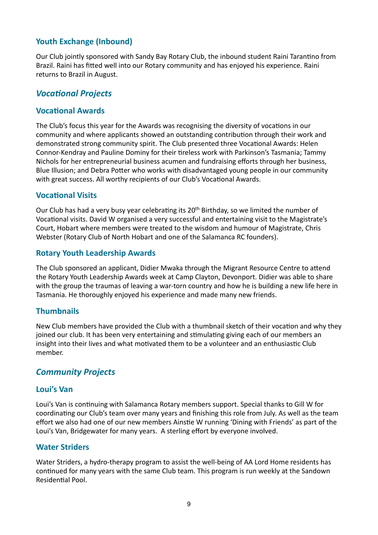# <span id="page-8-0"></span>**Youth Exchange (Inbound)**

Our Club jointly sponsored with Sandy Bay Rotary Club, the inbound student Raini Tarantino from Brazil. Raini has fitted well into our Rotary community and has enjoyed his experience. Raini returns to Brazil in August.

## **Vocational Projects**

#### <span id="page-8-1"></span>**Vocational Awards**

The Club's focus this year for the Awards was recognising the diversity of vocations in our community and where applicants showed an outstanding contribution through their work and demonstrated strong community spirit. The Club presented three Vocational Awards: Helen Connor-Kendray and Pauline Dominy for their tireless work with Parkinson's Tasmania; Tammy Nichols for her entrepreneurial business acumen and fundraising efforts through her business, Blue Illusion; and Debra Potter who works with disadvantaged young people in our community with great success. All worthy recipients of our Club's Vocational Awards.

#### <span id="page-8-2"></span>**Vocational Visits**

Our Club has had a very busy year celebrating its  $20<sup>th</sup>$  Birthday, so we limited the number of Vocational visits. David W organised a very successful and entertaining visit to the Magistrate's Court, Hobart where members were treated to the wisdom and humour of Magistrate, Chris Webster (Rotary Club of North Hobart and one of the Salamanca RC founders).

#### <span id="page-8-3"></span>**Rotary Youth Leadership Awards**

The Club sponsored an applicant, Didier Mwaka through the Migrant Resource Centre to attend the Rotary Youth Leadership Awards week at Camp Clayton, Devonport. Didier was able to share with the group the traumas of leaving a war-torn country and how he is building a new life here in Tasmania. He thoroughly enjoyed his experience and made many new friends.

#### <span id="page-8-4"></span>**Thumbnails**

New Club members have provided the Club with a thumbnail sketch of their vocation and why they joined our club. It has been very entertaining and stimulating giving each of our members an insight into their lives and what motivated them to be a volunteer and an enthusiastic Club member.

#### *Community Projects*

#### <span id="page-8-5"></span>**Loui's Van**

Loui's Van is continuing with Salamanca Rotary members support. Special thanks to Gill W for coordinating our Club's team over many years and finishing this role from July. As well as the team effort we also had one of our new members Ainstie W running 'Dining with Friends' as part of the Loui's Van, Bridgewater for many years. A sterling effort by everyone involved.

#### <span id="page-8-6"></span>**Water Striders**

Water Striders, a hydro-therapy program to assist the well-being of AA Lord Home residents has continued for many years with the same Club team. This program is run weekly at the Sandown Residential Pool.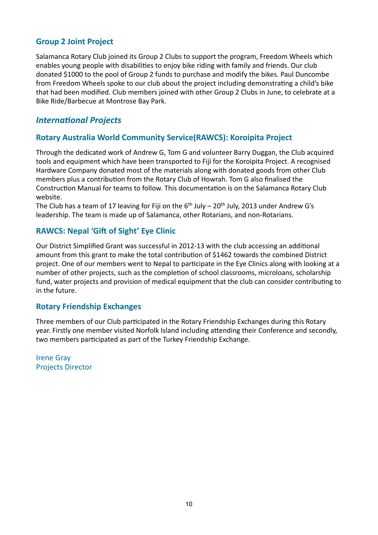# <span id="page-9-0"></span>**Group 2 Joint Project**

Salamanca Rotary Club joined its Group 2 Clubs to support the program, Freedom Wheels which enables young people with disabilities to enjoy bike riding with family and friends. Our club donated \$1000 to the pool of Group 2 funds to purchase and modify the bikes. Paul Duncombe from Freedom Wheels spoke to our club about the project including demonstrating a child's bike that had been modified. Club members joined with other Group 2 Clubs in June, to celebrate at a Bike Ride/Barbecue at Montrose Bay Park.

# **International Projects**

## <span id="page-9-1"></span>**Rotary Australia World Community Service(RAWCS): Koroipita Project**

Through the dedicated work of Andrew G, Tom G and volunteer Barry Duggan, the Club acquired tools and equipment which have been transported to Fiji for the Koroipita Project. A recognised Hardware Company donated most of the materials along with donated goods from other Club members plus a contribution from the Rotary Club of Howrah. Tom G also finalised the Construction Manual for teams to follow. This documentation is on the Salamanca Rotary Club website.

The Club has a team of 17 leaving for Fiji on the  $6<sup>th</sup>$  July – 20<sup>th</sup> July, 2013 under Andrew G's leadership. The team is made up of Salamanca, other Rotarians, and non-Rotarians.

## <span id="page-9-2"></span>**RAWCS: Nepal 'Gift of Sight' Eye Clinic**

Our District Simplified Grant was successful in 2012-13 with the club accessing an additional amount from this grant to make the total contribution of \$1462 towards the combined District project. One of our members went to Nepal to participate in the Eye Clinics along with looking at a number of other projects, such as the completion of school classrooms, microloans, scholarship fund, water projects and provision of medical equipment that the club can consider contributing to in the future.

#### <span id="page-9-3"></span>**Rotary Friendship Exchanges**

Three members of our Club participated in the Rotary Friendship Exchanges during this Rotary year. Firstly one member visited Norfolk Island including attending their Conference and secondly, two members participated as part of the Turkey Friendship Exchange.

**Irene Gray** Projects Director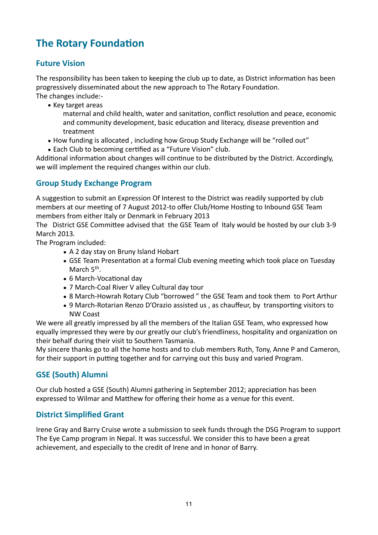# <span id="page-10-0"></span>**The Rotary Foundation**

# <span id="page-10-1"></span>**Future Vision**

The responsibility has been taken to keeping the club up to date, as District information has been progressively disseminated about the new approach to The Rotary Foundation. The changes include:-

• Key target areas

maternal and child health, water and sanitation, conflict resolution and peace, economic and community development, basic education and literacy, disease prevention and treatment 

- How funding is allocated, including how Group Study Exchange will be "rolled out"
- Each Club to becoming certified as a "Future Vision" club.

Additional information about changes will continue to be distributed by the District. Accordingly, we will implement the required changes within our club.

# <span id="page-10-2"></span>**Group Study Exchange Program**

A suggestion to submit an Expression Of Interest to the District was readily supported by club members at our meeting of 7 August 2012-to offer Club/Home Hosting to Inbound GSE Team members from either Italy or Denmark in February 2013

The District GSE Committee advised that the GSE Team of Italy would be hosted by our club 3-9 March 2013*.*

The Program included:

- A 2 day stay on Bruny Island Hobart
- GSE Team Presentation at a formal Club evening meeting which took place on Tuesday March  $5<sup>th</sup>$ .
- 6 March-Vocational day
- 7 March-Coal River V alley Cultural day tour
- 8 March-Howrah Rotary Club "borrowed" the GSE Team and took them to Port Arthur
- 9 March-Rotarian Renzo D'Orazio assisted us, as chauffeur, by transporting visitors to NW Coast

We were all greatly impressed by all the members of the Italian GSE Team, who expressed how equally impressed they were by our greatly our club's friendliness, hospitality and organization on their behalf during their visit to Southern Tasmania.

My sincere thanks go to all the home hosts and to club members Ruth, Tony, Anne P and Cameron, for their support in putting together and for carrying out this busy and varied Program.

# <span id="page-10-3"></span>**GSE (South) Alumni**

Our club hosted a GSE (South) Alumni gathering in September 2012; appreciation has been expressed to Wilmar and Matthew for offering their home as a venue for this event.

# <span id="page-10-4"></span>**District Simplified Grant**

Irene Gray and Barry Cruise wrote a submission to seek funds through the DSG Program to support The Eye Camp program in Nepal. It was successful. We consider this to have been a great achievement, and especially to the credit of Irene and in honor of Barry.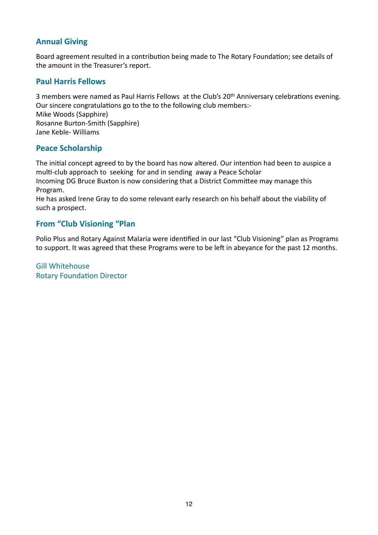# <span id="page-11-0"></span>**Annual Giving**

Board agreement resulted in a contribution being made to The Rotary Foundation; see details of the amount in the Treasurer's report.

#### <span id="page-11-1"></span>**Paul Harris Fellows**

3 members were named as Paul Harris Fellows at the Club's 20<sup>th</sup> Anniversary celebrations evening. Our sincere congratulations go to the to the following club members:-Mike Woods (Sapphire) Rosanne Burton-Smith (Sapphire) Jane Keble- Williams

## <span id="page-11-2"></span>**Peace Scholarship**

The initial concept agreed to by the board has now altered. Our intention had been to auspice a multi-club approach to seeking for and in sending away a Peace Scholar Incoming DG Bruce Buxton is now considering that a District Committee may manage this Program. 

He has asked Irene Gray to do some relevant early research on his behalf about the viability of such a prospect.

## <span id="page-11-3"></span>**From "Club Visioning "Plan**

Polio Plus and Rotary Against Malaria were identified in our last "Club Visioning" plan as Programs to support. It was agreed that these Programs were to be left in abeyance for the past 12 months.

**Gill Whitehouse Rotary Foundation Director**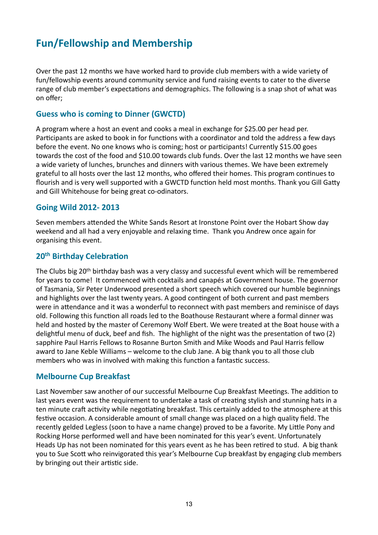# <span id="page-12-0"></span>**Fun/Fellowship and Membership**

Over the past 12 months we have worked hard to provide club members with a wide variety of fun/fellowship events around community service and fund raising events to cater to the diverse range of club member's expectations and demographics. The following is a snap shot of what was on offer;

#### <span id="page-12-1"></span>**Guess who is coming to Dinner (GWCTD)**

A program where a host an event and cooks a meal in exchange for \$25.00 per head per. Participants are asked to book in for functions with a coordinator and told the address a few days before the event. No one knows who is coming; host or participants! Currently \$15.00 goes towards the cost of the food and \$10.00 towards club funds. Over the last 12 months we have seen a wide variety of lunches, brunches and dinners with various themes. We have been extremely grateful to all hosts over the last 12 months, who offered their homes. This program continues to flourish and is very well supported with a GWCTD function held most months. Thank you Gill Gatty and Gill Whitehouse for being great co-odinators.

#### <span id="page-12-2"></span>**Going Wild 2012- 2013**

Seven members attended the White Sands Resort at Ironstone Point over the Hobart Show day weekend and all had a very enjoyable and relaxing time. Thank you Andrew once again for organising this event.

#### <span id="page-12-3"></span>**20<sup>th</sup> Birthday Celebration**

The Clubs big 20<sup>th</sup> birthday bash was a very classy and successful event which will be remembered for years to come! It commenced with cocktails and canapés at Government house. The governor of Tasmania, Sir Peter Underwood presented a short speech which covered our humble beginnings and highlights over the last twenty years. A good contingent of both current and past members were in attendance and it was a wonderful to reconnect with past members and reminisce of days old. Following this function all roads led to the Boathouse Restaurant where a formal dinner was held and hosted by the master of Ceremony Wolf Ebert. We were treated at the Boat house with a delightful menu of duck, beef and fish. The highlight of the night was the presentation of two (2) sapphire Paul Harris Fellows to Rosanne Burton Smith and Mike Woods and Paul Harris fellow award to Jane Keble Williams – welcome to the club Jane. A big thank you to all those club members who was in involved with making this function a fantastic success.

#### <span id="page-12-4"></span>**Melbourne Cup Breakfast**

Last November saw another of our successful Melbourne Cup Breakfast Meetings. The addition to last years event was the requirement to undertake a task of creating stylish and stunning hats in a ten minute craft activity while negotiating breakfast. This certainly added to the atmosphere at this festive occasion. A considerable amount of small change was placed on a high quality field. The recently gelded Legless (soon to have a name change) proved to be a favorite. My Little Pony and Rocking Horse performed well and have been nominated for this year's event. Unfortunately Heads Up has not been nominated for this years event as he has been retired to stud. A big thank you to Sue Scott who reinvigorated this year's Melbourne Cup breakfast by engaging club members by bringing out their artistic side.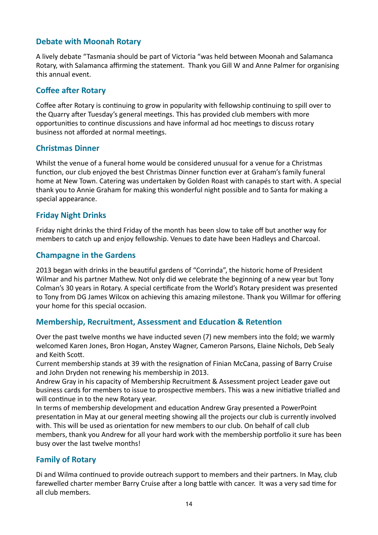# <span id="page-13-0"></span>**Debate with Moonah Rotary**

A lively debate "Tasmania should be part of Victoria "was held between Moonah and Salamanca Rotary, with Salamanca affirming the statement. Thank you Gill W and Anne Palmer for organising this annual event.

### <span id="page-13-1"></span>**Coffee after Rotary**

Coffee after Rotary is continuing to grow in popularity with fellowship continuing to spill over to the Quarry after Tuesday's general meetings. This has provided club members with more opportunities to continue discussions and have informal ad hoc meetings to discuss rotary business not afforded at normal meetings.

#### <span id="page-13-2"></span>**Christmas Dinner**

Whilst the venue of a funeral home would be considered unusual for a venue for a Christmas function, our club enjoyed the best Christmas Dinner function ever at Graham's family funeral home at New Town. Catering was undertaken by Golden Roast with canapés to start with. A special thank you to Annie Graham for making this wonderful night possible and to Santa for making a special appearance.

#### <span id="page-13-3"></span>**Friday Night Drinks**

Friday night drinks the third Friday of the month has been slow to take off but another way for members to catch up and enjoy fellowship. Venues to date have been Hadleys and Charcoal.

#### <span id="page-13-4"></span>**Champagne in the Gardens**

2013 began with drinks in the beautiful gardens of "Corrinda", the historic home of President Wilmar and his partner Mathew. Not only did we celebrate the beginning of a new year but Tony Colman's 30 years in Rotary. A special certificate from the World's Rotary president was presented to Tony from DG James Wilcox on achieving this amazing milestone. Thank you Willmar for offering your home for this special occasion.

#### <span id="page-13-5"></span>**Membership, Recruitment, Assessment and Education & Retention**

Over the past twelve months we have inducted seven (7) new members into the fold; we warmly welcomed Karen Jones, Bron Hogan, Anstey Wagner, Cameron Parsons, Elaine Nichols, Deb Sealy and Keith Scott.

Current membership stands at 39 with the resignation of Finian McCana, passing of Barry Cruise and John Dryden not renewing his membership in 2013.

Andrew Gray in his capacity of Membership Recruitment & Assessment project Leader gave out business cards for members to issue to prospective members. This was a new initiative trialled and will continue in to the new Rotary year.

In terms of membership development and education Andrew Gray presented a PowerPoint presentation in May at our general meeting showing all the projects our club is currently involved with. This will be used as orientation for new members to our club. On behalf of call club members, thank you Andrew for all your hard work with the membership portfolio it sure has been busy over the last twelve months!

# <span id="page-13-6"></span>**Family of Rotary**

Di and Wilma continued to provide outreach support to members and their partners. In May, club farewelled charter member Barry Cruise after a long battle with cancer. It was a very sad time for all club members.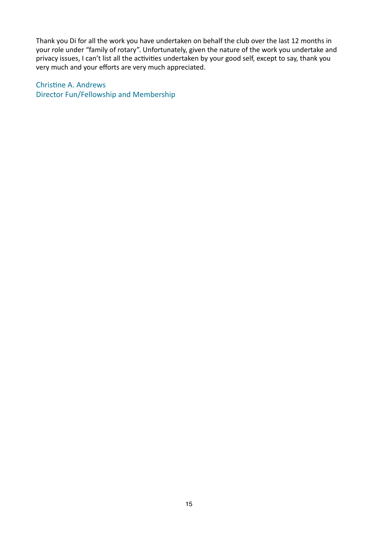Thank you Di for all the work you have undertaken on behalf the club over the last 12 months in your role under "family of rotary". Unfortunately, given the nature of the work you undertake and privacy issues, I can't list all the activities undertaken by your good self, except to say, thank you very much and your efforts are very much appreciated.

Christine A. Andrews Director Fun/Fellowship and Membership